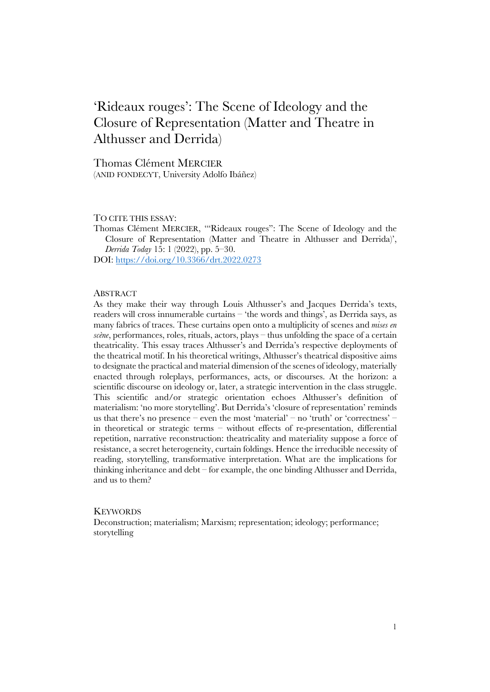# 'Rideaux rouges': The Scene of Ideology and the Closure of Representation (Matter and Theatre in Althusser and Derrida)

Thomas Clément MERCIER (ANID FONDECYT, University Adolfo Ibáñez)

#### TO CITE THIS ESSAY:

Thomas Clément MERCIER, '"Rideaux rouges": The Scene of Ideology and the Closure of Representation (Matter and Theatre in Althusser and Derrida)', *Derrida Today* 15: 1 (2022), pp. 5–30.

DOI: https://doi.org/10.3366/drt.2022.0273

#### **ABSTRACT**

As they make their way through Louis Althusser's and Jacques Derrida's texts, readers will cross innumerable curtains – 'the words and things', as Derrida says, as many fabrics of traces. These curtains open onto a multiplicity of scenes and *mises en scène*, performances, roles, rituals, actors, plays – thus unfolding the space of a certain theatricality. This essay traces Althusser's and Derrida's respective deployments of the theatrical motif. In his theoretical writings, Althusser's theatrical dispositive aims to designate the practical and material dimension of the scenes of ideology, materially enacted through roleplays, performances, acts, or discourses. At the horizon: a scientific discourse on ideology or, later, a strategic intervention in the class struggle. This scientific and/or strategic orientation echoes Althusser's definition of materialism: 'no more storytelling'. But Derrida's 'closure of representation' reminds us that there's no presence – even the most 'material' – no 'truth' or 'correctness' – in theoretical or strategic terms – without effects of re-presentation, differential repetition, narrative reconstruction: theatricality and materiality suppose a force of resistance, a secret heterogeneity, curtain foldings. Hence the irreducible necessity of reading, storytelling, transformative interpretation. What are the implications for thinking inheritance and debt – for example, the one binding Althusser and Derrida, and us to them?

#### **KEYWORDS**

Deconstruction; materialism; Marxism; representation; ideology; performance; storytelling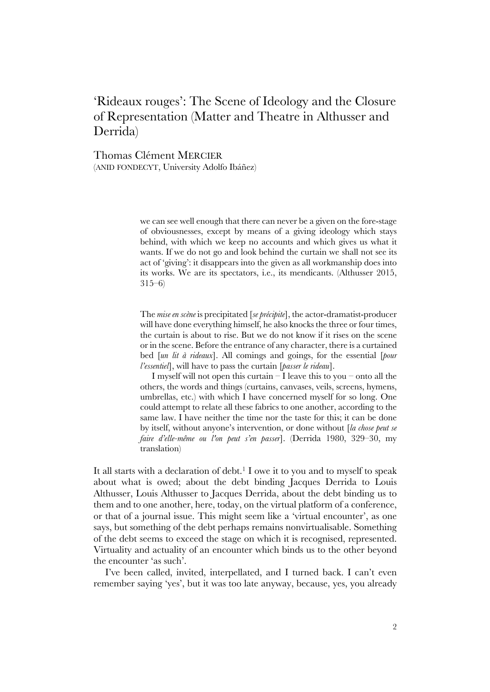## 'Rideaux rouges': The Scene of Ideology and the Closure of Representation (Matter and Theatre in Althusser and Derrida)

Thomas Clément MERCIER (ANID FONDECYT, University Adolfo Ibáñez)

> we can see well enough that there can never be a given on the fore-stage of obviousnesses, except by means of a giving ideology which stays behind, with which we keep no accounts and which gives us what it wants. If we do not go and look behind the curtain we shall not see its act of 'giving': it disappears into the given as all workmanship does into its works. We are its spectators, i.e., its mendicants. (Althusser 2015, 315–6)

> The *mise en scène* is precipitated [*se précipite*], the actor-dramatist-producer will have done everything himself, he also knocks the three or four times, the curtain is about to rise. But we do not know if it rises on the scene or in the scene. Before the entrance of any character, there is a curtained bed [*un lit à rideaux*]. All comings and goings, for the essential [*pour l'essentiel*], will have to pass the curtain [*passer le rideau*].

> I myself will not open this curtain  $-I$  leave this to you – onto all the others, the words and things (curtains, canvases, veils, screens, hymens, umbrellas, etc.) with which I have concerned myself for so long. One could attempt to relate all these fabrics to one another, according to the same law. I have neither the time nor the taste for this; it can be done by itself, without anyone's intervention, or done without [*la chose peut se faire d'elle-même ou l'on peut s'en passer*]. (Derrida 1980, 329–30, my translation)

It all starts with a declaration of debt.<sup>1</sup> I owe it to you and to myself to speak about what is owed; about the debt binding Jacques Derrida to Louis Althusser, Louis Althusser to Jacques Derrida, about the debt binding us to them and to one another, here, today, on the virtual platform of a conference, or that of a journal issue. This might seem like a 'virtual encounter', as one says, but something of the debt perhaps remains nonvirtualisable. Something of the debt seems to exceed the stage on which it is recognised, represented. Virtuality and actuality of an encounter which binds us to the other beyond the encounter 'as such'.

I've been called, invited, interpellated, and I turned back. I can't even remember saying 'yes', but it was too late anyway, because, yes, you already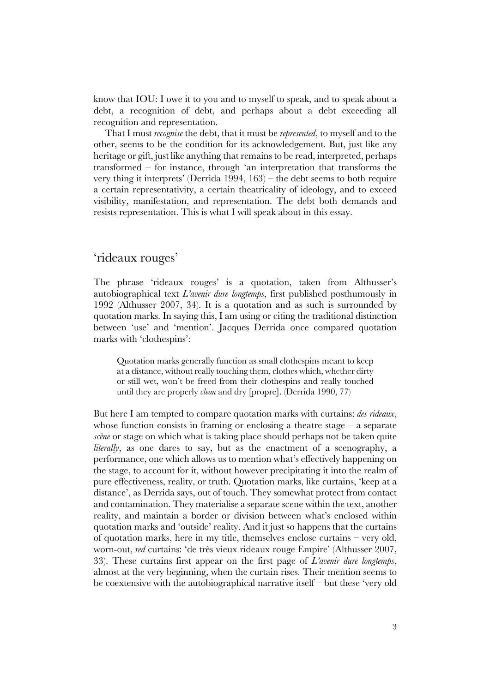know that IOU: I owe it to you and to myself to speak, and to speak about a debt, a recognition of debt, and perhaps about a debt exceeding all recognition and representation.

That I must *recognise* the debt, that it must be *represented*, to myself and to the other, seems to be the condition for its acknowledgement. But, just like any heritage or gift, just like anything that remains to be read, interpreted, perhaps transformed – for instance, through 'an interpretation that transforms the very thing it interprets' (Derrida 1994, 163) – the debt seems to both require a certain representativity, a certain theatricality of ideology, and to exceed visibility, manifestation, and representation. The debt both demands and resists representation. This is what I will speak about in this essay.

### 'rideaux rouges'

The phrase 'rideaux rouges' is a quotation, taken from Althusser's autobiographical text *L'avenir dure longtemps*, first published posthumously in 1992 (Althusser 2007, 34). It is a quotation and as such is surrounded by quotation marks. In saying this, I am using or citing the traditional distinction between 'use' and 'mention'. Jacques Derrida once compared quotation marks with 'clothespins':

Quotation marks generally function as small clothespins meant to keep at a distance, without really touching them, clothes which, whether dirty or still wet, won't be freed from their clothespins and really touched until they are properly *clean* and dry [propre]. (Derrida 1990, 77)

But here I am tempted to compare quotation marks with curtains: *des rideaux*, whose function consists in framing or enclosing a theatre stage  $-$  a separate *scène* or stage on which what is taking place should perhaps not be taken quite *literally*, as one dares to say, but as the enactment of a scenography, a performance, one which allows us to mention what's effectively happening on the stage, to account for it, without however precipitating it into the realm of pure effectiveness, reality, or truth. Quotation marks, like curtains, 'keep at a distance', as Derrida says, out of touch. They somewhat protect from contact and contamination. They materialise a separate scene within the text, another reality, and maintain a border or division between what's enclosed within quotation marks and 'outside' reality. And it just so happens that the curtains of quotation marks, here in my title, themselves enclose curtains – very old, worn-out, *red* curtains: 'de très vieux rideaux rouge Empire' (Althusser 2007, 33). These curtains first appear on the first page of *L'avenir dure longtemps*, almost at the very beginning, when the curtain rises. Their mention seems to be coextensive with the autobiographical narrative itself – but these 'very old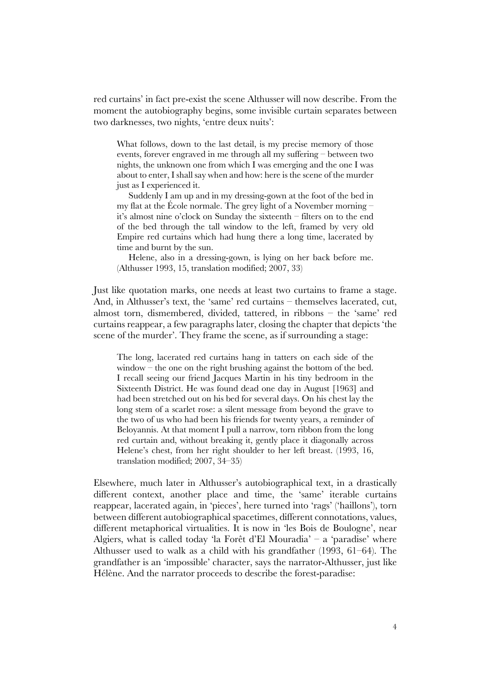red curtains' in fact pre-exist the scene Althusser will now describe. From the moment the autobiography begins, some invisible curtain separates between two darknesses, two nights, 'entre deux nuits':

What follows, down to the last detail, is my precise memory of those events, forever engraved in me through all my suffering – between two nights, the unknown one from which I was emerging and the one I was about to enter, I shall say when and how: here is the scene of the murder just as I experienced it.

Suddenly I am up and in my dressing-gown at the foot of the bed in my flat at the École normale. The grey light of a November morning – it's almost nine o'clock on Sunday the sixteenth – filters on to the end of the bed through the tall window to the left, framed by very old Empire red curtains which had hung there a long time, lacerated by time and burnt by the sun.

Helene, also in a dressing-gown, is lying on her back before me. (Althusser 1993, 15, translation modified; 2007, 33)

Just like quotation marks, one needs at least two curtains to frame a stage. And, in Althusser's text, the 'same' red curtains – themselves lacerated, cut, almost torn, dismembered, divided, tattered, in ribbons – the 'same' red curtains reappear, a few paragraphs later, closing the chapter that depicts 'the scene of the murder'. They frame the scene, as if surrounding a stage:

The long, lacerated red curtains hang in tatters on each side of the window – the one on the right brushing against the bottom of the bed. I recall seeing our friend Jacques Martin in his tiny bedroom in the Sixteenth District. He was found dead one day in August [1963] and had been stretched out on his bed for several days. On his chest lay the long stem of a scarlet rose: a silent message from beyond the grave to the two of us who had been his friends for twenty years, a reminder of Beloyannis. At that moment I pull a narrow, torn ribbon from the long red curtain and, without breaking it, gently place it diagonally across Helene's chest, from her right shoulder to her left breast. (1993, 16, translation modified; 2007, 34–35)

Elsewhere, much later in Althusser's autobiographical text, in a drastically different context, another place and time, the 'same' iterable curtains reappear, lacerated again, in 'pieces', here turned into 'rags' ('haillons'), torn between different autobiographical spacetimes, different connotations, values, different metaphorical virtualities. It is now in 'les Bois de Boulogne', near Algiers, what is called today 'la Forêt d'El Mouradia' – a 'paradise' where Althusser used to walk as a child with his grandfather (1993, 61–64). The grandfather is an 'impossible' character, says the narrator-Althusser, just like Hélène. And the narrator proceeds to describe the forest-paradise: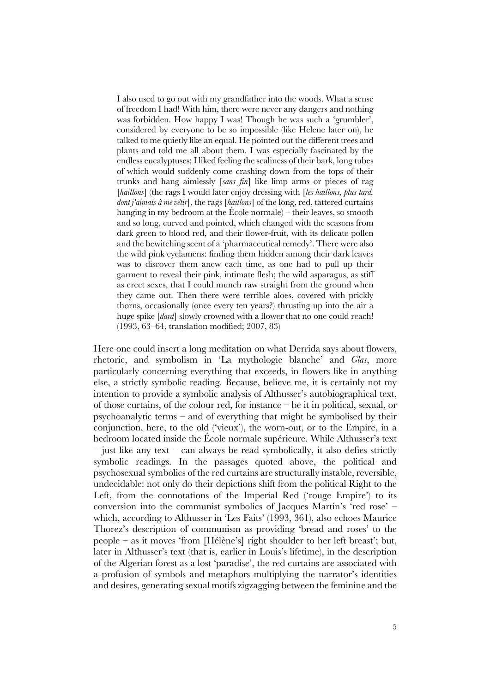I also used to go out with my grandfather into the woods. What a sense of freedom I had! With him, there were never any dangers and nothing was forbidden. How happy I was! Though he was such a 'grumbler', considered by everyone to be so impossible (like Helene later on), he talked to me quietly like an equal. He pointed out the different trees and plants and told me all about them. I was especially fascinated by the endless eucalyptuses; I liked feeling the scaliness of their bark, long tubes of which would suddenly come crashing down from the tops of their trunks and hang aimlessly [*sans fin*] like limp arms or pieces of rag [haillons] (the rags I would later enjoy dressing with [les haillons, plus tard, *dont j'aimais à me vêtir*], the rags [*haillons*] of the long, red, tattered curtains hanging in my bedroom at the École normale) – their leaves, so smooth and so long, curved and pointed, which changed with the seasons from dark green to blood red, and their flower-fruit, with its delicate pollen and the bewitching scent of a 'pharmaceutical remedy'. There were also the wild pink cyclamens: finding them hidden among their dark leaves was to discover them anew each time, as one had to pull up their garment to reveal their pink, intimate flesh; the wild asparagus, as stiff as erect sexes, that I could munch raw straight from the ground when they came out. Then there were terrible aloes, covered with prickly thorns, occasionally (once every ten years?) thrusting up into the air a huge spike [*dard*] slowly crowned with a flower that no one could reach! (1993, 63–64, translation modified; 2007, 83)

Here one could insert a long meditation on what Derrida says about flowers, rhetoric, and symbolism in 'La mythologie blanche' and *Glas*, more particularly concerning everything that exceeds, in flowers like in anything else, a strictly symbolic reading. Because, believe me, it is certainly not my intention to provide a symbolic analysis of Althusser's autobiographical text, of those curtains, of the colour red, for instance – be it in political, sexual, or psychoanalytic terms – and of everything that might be symbolised by their conjunction, here, to the old ('vieux'), the worn-out, or to the Empire, in a bedroom located inside the École normale supérieure. While Althusser's text  $-$  just like any text  $-$  can always be read symbolically, it also defies strictly symbolic readings. In the passages quoted above, the political and psychosexual symbolics of the red curtains are structurally instable, reversible, undecidable: not only do their depictions shift from the political Right to the Left, from the connotations of the Imperial Red ('rouge Empire') to its conversion into the communist symbolics of Jacques Martin's 'red rose' – which, according to Althusser in 'Les Faits' (1993, 361), also echoes Maurice Thorez's description of communism as providing 'bread and roses' to the people – as it moves 'from [Hélène's] right shoulder to her left breast'; but, later in Althusser's text (that is, earlier in Louis's lifetime), in the description of the Algerian forest as a lost 'paradise', the red curtains are associated with a profusion of symbols and metaphors multiplying the narrator's identities and desires, generating sexual motifs zigzagging between the feminine and the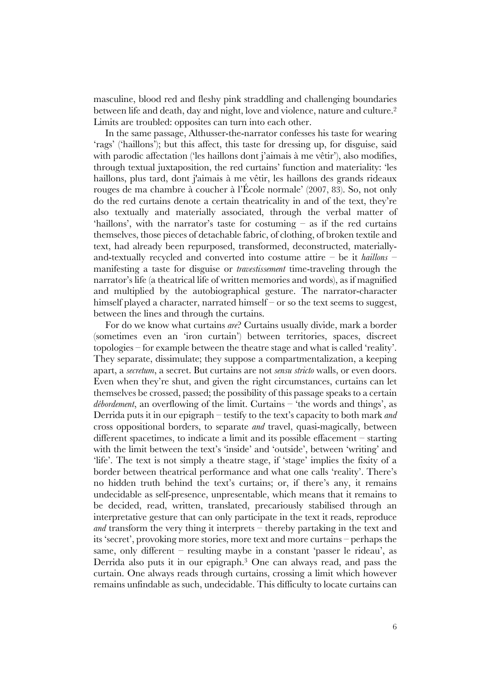masculine, blood red and fleshy pink straddling and challenging boundaries between life and death, day and night, love and violence, nature and culture. 2 Limits are troubled: opposites can turn into each other.

In the same passage, Althusser-the-narrator confesses his taste for wearing 'rags' ('haillons'); but this affect, this taste for dressing up, for disguise, said with parodic affectation ('les haillons dont j'aimais à me vêtir'), also modifies, through textual juxtaposition, the red curtains' function and materiality: 'les haillons, plus tard, dont j'aimais à me vêtir, les haillons des grands rideaux rouges de ma chambre à coucher à l'École normale' (2007, 83). So, not only do the red curtains denote a certain theatricality in and of the text, they're also textually and materially associated, through the verbal matter of 'haillons', with the narrator's taste for costuming – as if the red curtains themselves, those pieces of detachable fabric, of clothing, of broken textile and text, had already been repurposed, transformed, deconstructed, materiallyand-textually recycled and converted into costume attire – be it *haillons* – manifesting a taste for disguise or *travestissement* time-traveling through the narrator's life (a theatrical life of written memories and words), as if magnified and multiplied by the autobiographical gesture. The narrator-character himself played a character, narrated himself – or so the text seems to suggest, between the lines and through the curtains.

For do we know what curtains *are*? Curtains usually divide, mark a border (sometimes even an 'iron curtain') between territories, spaces, discreet topologies – for example between the theatre stage and what is called 'reality'. They separate, dissimulate; they suppose a compartmentalization, a keeping apart, a *secretum*, a secret. But curtains are not *sensu stricto* walls, or even doors. Even when they're shut, and given the right circumstances, curtains can let themselves be crossed, passed; the possibility of this passage speaks to a certain *débordement*, an overflowing of the limit. Curtains – 'the words and things', as Derrida puts it in our epigraph – testify to the text's capacity to both mark *and* cross oppositional borders, to separate *and* travel, quasi-magically, between different spacetimes, to indicate a limit and its possible effacement – starting with the limit between the text's 'inside' and 'outside', between 'writing' and 'life'. The text is not simply a theatre stage, if 'stage' implies the fixity of a border between theatrical performance and what one calls 'reality'. There's no hidden truth behind the text's curtains; or, if there's any, it remains undecidable as self-presence, unpresentable, which means that it remains to be decided, read, written, translated, precariously stabilised through an interpretative gesture that can only participate in the text it reads, reproduce *and* transform the very thing it interprets – thereby partaking in the text and its 'secret', provoking more stories, more text and more curtains – perhaps the same, only different – resulting maybe in a constant 'passer le rideau', as Derrida also puts it in our epigraph. <sup>3</sup> One can always read, and pass the curtain. One always reads through curtains, crossing a limit which however remains unfindable as such, undecidable. This difficulty to locate curtains can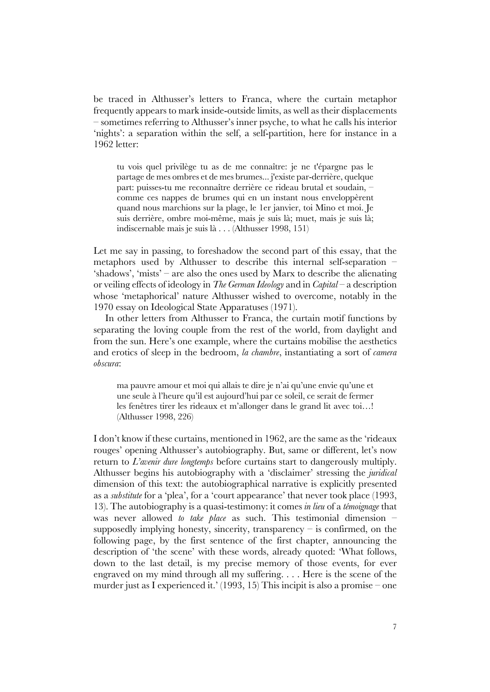be traced in Althusser's letters to Franca, where the curtain metaphor frequently appears to mark inside-outside limits, as well as their displacements – sometimes referring to Althusser's inner psyche, to what he calls his interior 'nights': a separation within the self, a self-partition, here for instance in a 1962 letter:

tu vois quel privilège tu as de me connaître: je ne t'épargne pas le partage de mes ombres et de mes brumes... j'existe par-derrière, quelque part: puisses-tu me reconnaître derrière ce rideau brutal et soudain, – comme ces nappes de brumes qui en un instant nous enveloppèrent quand nous marchions sur la plage, le 1er janvier, toi Mino et moi. Je suis derrière, ombre moi-même, mais je suis là; muet, mais je suis là; indiscernable mais je suis là . . . (Althusser 1998, 151)

Let me say in passing, to foreshadow the second part of this essay, that the metaphors used by Althusser to describe this internal self-separation – 'shadows', 'mists' – are also the ones used by Marx to describe the alienating or veiling effects of ideology in *The German Ideology* and in *Capital* – a description whose 'metaphorical' nature Althusser wished to overcome, notably in the 1970 essay on Ideological State Apparatuses (1971).

In other letters from Althusser to Franca, the curtain motif functions by separating the loving couple from the rest of the world, from daylight and from the sun. Here's one example, where the curtains mobilise the aesthetics and erotics of sleep in the bedroom, *la chambre*, instantiating a sort of *camera obscura*:

ma pauvre amour et moi qui allais te dire je n'ai qu'une envie qu'une et une seule à l'heure qu'il est aujourd'hui par ce soleil, ce serait de fermer les fenêtres tirer les rideaux et m'allonger dans le grand lit avec toi…! (Althusser 1998, 226)

I don't know if these curtains, mentioned in 1962, are the same as the 'rideaux rouges' opening Althusser's autobiography. But, same or different, let's now return to *L'avenir dure longtemps* before curtains start to dangerously multiply. Althusser begins his autobiography with a 'disclaimer' stressing the *juridical* dimension of this text: the autobiographical narrative is explicitly presented as a *substitute* for a 'plea', for a 'court appearance' that never took place (1993, 13). The autobiography is a quasi-testimony: it comes *in lieu* of a *témoignage* that was never allowed *to take place* as such. This testimonial dimension – supposedly implying honesty, sincerity, transparency  $-$  is confirmed, on the following page, by the first sentence of the first chapter, announcing the description of 'the scene' with these words, already quoted: 'What follows, down to the last detail, is my precise memory of those events, for ever engraved on my mind through all my suffering. . . . Here is the scene of the murder just as I experienced it.' (1993, 15) This incipit is also a promise – one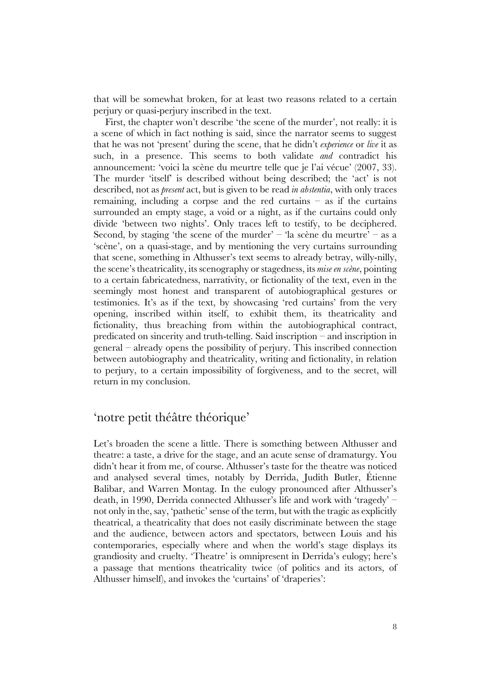that will be somewhat broken, for at least two reasons related to a certain perjury or quasi-perjury inscribed in the text.

First, the chapter won't describe 'the scene of the murder', not really: it is a scene of which in fact nothing is said, since the narrator seems to suggest that he was not 'present' during the scene, that he didn't *experience* or *live* it as such, in a presence. This seems to both validate *and* contradict his announcement: 'voici la scène du meurtre telle que je l'ai vécue' (2007, 33). The murder 'itself' is described without being described; the 'act' is not described, not as *present* act, but is given to be read *in abstentia*, with only traces remaining, including a corpse and the red curtains  $-$  as if the curtains surrounded an empty stage, a void or a night, as if the curtains could only divide 'between two nights'. Only traces left to testify, to be deciphered. Second, by staging 'the scene of the murder' – 'la scène du meurtre' – as a 'scène', on a quasi-stage, and by mentioning the very curtains surrounding that scene, something in Althusser's text seems to already betray, willy-nilly, the scene's theatricality, its scenography or stagedness, its *mise en scène*, pointing to a certain fabricatedness, narrativity, or fictionality of the text, even in the seemingly most honest and transparent of autobiographical gestures or testimonies. It's as if the text, by showcasing 'red curtains' from the very opening, inscribed within itself, to exhibit them, its theatricality and fictionality, thus breaching from within the autobiographical contract, predicated on sincerity and truth-telling. Said inscription – and inscription in general – already opens the possibility of perjury. This inscribed connection between autobiography and theatricality, writing and fictionality, in relation to perjury, to a certain impossibility of forgiveness, and to the secret, will return in my conclusion.

### 'notre petit théâtre théorique'

Let's broaden the scene a little. There is something between Althusser and theatre: a taste, a drive for the stage, and an acute sense of dramaturgy. You didn't hear it from me, of course. Althusser's taste for the theatre was noticed and analysed several times, notably by Derrida, Judith Butler, Étienne Balibar, and Warren Montag. In the eulogy pronounced after Althusser's death, in 1990, Derrida connected Althusser's life and work with 'tragedy' – not only in the, say, 'pathetic' sense of the term, but with the tragic as explicitly theatrical, a theatricality that does not easily discriminate between the stage and the audience, between actors and spectators, between Louis and his contemporaries, especially where and when the world's stage displays its grandiosity and cruelty. 'Theatre' is omnipresent in Derrida's eulogy; here's a passage that mentions theatricality twice (of politics and its actors, of Althusser himself), and invokes the 'curtains' of 'draperies':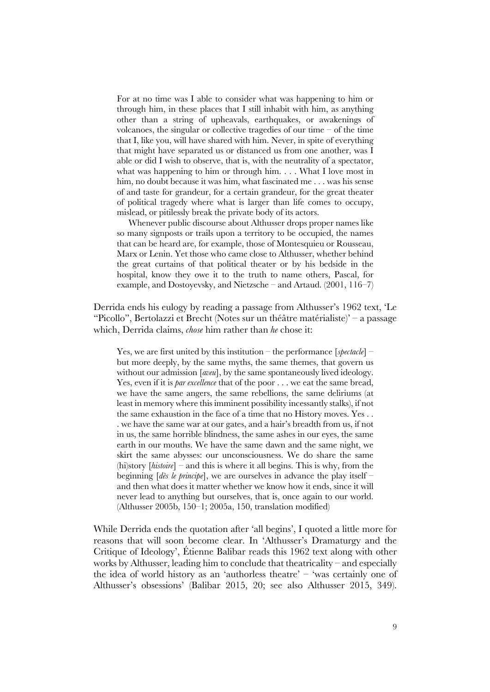For at no time was I able to consider what was happening to him or through him, in these places that I still inhabit with him, as anything other than a string of upheavals, earthquakes, or awakenings of volcanoes, the singular or collective tragedies of our time – of the time that I, like you, will have shared with him. Never, in spite of everything that might have separated us or distanced us from one another, was I able or did I wish to observe, that is, with the neutrality of a spectator, what was happening to him or through him. . . . What I love most in him, no doubt because it was him, what fascinated me . . . was his sense of and taste for grandeur, for a certain grandeur, for the great theater of political tragedy where what is larger than life comes to occupy, mislead, or pitilessly break the private body of its actors.

Whenever public discourse about Althusser drops proper names like so many signposts or trails upon a territory to be occupied, the names that can be heard are, for example, those of Montesquieu or Rousseau, Marx or Lenin. Yet those who came close to Althusser, whether behind the great curtains of that political theater or by his bedside in the hospital, know they owe it to the truth to name others, Pascal, for example, and Dostoyevsky, and Nietzsche – and Artaud. (2001, 116–7)

Derrida ends his eulogy by reading a passage from Althusser's 1962 text, 'Le "Picollo", Bertolazzi et Brecht (Notes sur un théâtre matérialiste)' – a passage which, Derrida claims, *chose* him rather than *he* chose it:

Yes, we are first united by this institution – the performance [*spectacle*] – but more deeply, by the same myths, the same themes, that govern us without our admission [*aveu*], by the same spontaneously lived ideology. Yes, even if it is *par excellence* that of the poor . . . we eat the same bread, we have the same angers, the same rebellions, the same deliriums (at least in memory where this imminent possibility incessantly stalks), if not the same exhaustion in the face of a time that no History moves. Yes . . . we have the same war at our gates, and a hair's breadth from us, if not in us, the same horrible blindness, the same ashes in our eyes, the same earth in our mouths. We have the same dawn and the same night, we skirt the same abysses: our unconsciousness. We do share the same (hi)story [*histoire*] – and this is where it all begins. This is why, from the beginning [*dès le principe*], we are ourselves in advance the play itself – and then what does it matter whether we know how it ends, since it will never lead to anything but ourselves, that is, once again to our world. (Althusser 2005b, 150–1; 2005a, 150, translation modified)

While Derrida ends the quotation after 'all begins', I quoted a little more for reasons that will soon become clear. In 'Althusser's Dramaturgy and the Critique of Ideology', Étienne Balibar reads this 1962 text along with other works by Althusser, leading him to conclude that theatricality – and especially the idea of world history as an 'authorless theatre' – 'was certainly one of Althusser's obsessions' (Balibar 2015, 20; see also Althusser 2015, 349).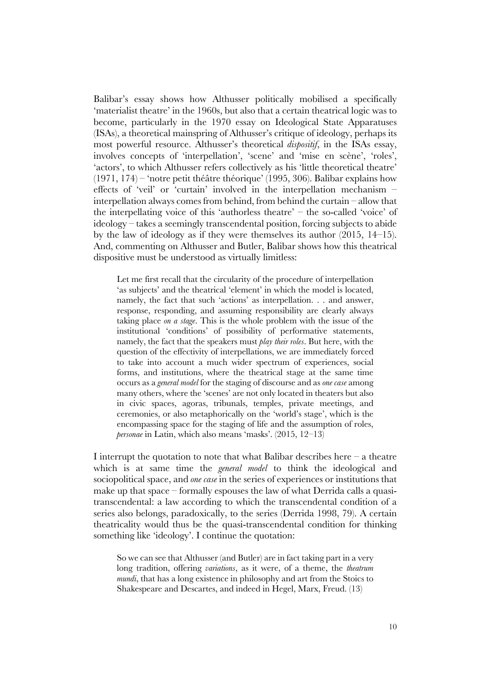Balibar's essay shows how Althusser politically mobilised a specifically 'materialist theatre' in the 1960s, but also that a certain theatrical logic was to become, particularly in the 1970 essay on Ideological State Apparatuses (ISAs), a theoretical mainspring of Althusser's critique of ideology, perhaps its most powerful resource. Althusser's theoretical *dispositif*, in the ISAs essay, involves concepts of 'interpellation', 'scene' and 'mise en scène', 'roles', 'actors', to which Althusser refers collectively as his 'little theoretical theatre'  $(1971, 174)$  – 'notre petit théâtre théorique' (1995, 306). Balibar explains how effects of 'veil' or 'curtain' involved in the interpellation mechanism – interpellation always comes from behind, from behind the curtain – allow that the interpellating voice of this 'authorless theatre' – the so-called 'voice' of ideology – takes a seemingly transcendental position, forcing subjects to abide by the law of ideology as if they were themselves its author (2015, 14–15). And, commenting on Althusser and Butler, Balibar shows how this theatrical dispositive must be understood as virtually limitless:

Let me first recall that the circularity of the procedure of interpellation 'as subjects' and the theatrical 'element' in which the model is located, namely, the fact that such 'actions' as interpellation. . . and answer, response, responding, and assuming responsibility are clearly always taking place *on a stage*. This is the whole problem with the issue of the institutional 'conditions' of possibility of performative statements, namely, the fact that the speakers must *play their roles*. But here, with the question of the effectivity of interpellations, we are immediately forced to take into account a much wider spectrum of experiences, social forms, and institutions, where the theatrical stage at the same time occurs as a *general model* for the staging of discourse and as *one case* among many others, where the 'scenes' are not only located in theaters but also in civic spaces, agoras, tribunals, temples, private meetings, and ceremonies, or also metaphorically on the 'world's stage', which is the encompassing space for the staging of life and the assumption of roles, *personae* in Latin, which also means 'masks'. (2015, 12–13)

I interrupt the quotation to note that what Balibar describes here  $-$  a theatre which is at same time the *general model* to think the ideological and sociopolitical space, and *one case* in the series of experiences or institutions that make up that space – formally espouses the law of what Derrida calls a quasitranscendental: a law according to which the transcendental condition of a series also belongs, paradoxically, to the series (Derrida 1998, 79). A certain theatricality would thus be the quasi-transcendental condition for thinking something like 'ideology'. I continue the quotation:

So we can see that Althusser (and Butler) are in fact taking part in a very long tradition, offering *variations*, as it were, of a theme, the *theatrum mundi*, that has a long existence in philosophy and art from the Stoics to Shakespeare and Descartes, and indeed in Hegel, Marx, Freud. (13)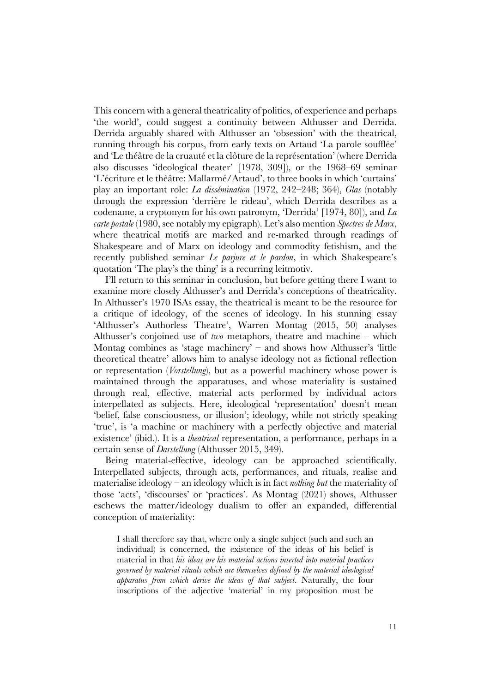This concern with a general theatricality of politics, of experience and perhaps 'the world', could suggest a continuity between Althusser and Derrida. Derrida arguably shared with Althusser an 'obsession' with the theatrical, running through his corpus, from early texts on Artaud 'La parole soufflée' and 'Le théâtre de la cruauté et la clôture de la représentation' (where Derrida also discusses 'ideological theater' [1978, 309]), or the 1968–69 seminar 'L'écriture et le théâtre: Mallarmé/Artaud', to three books in which 'curtains' play an important role: *La dissémination* (1972, 242–248; 364), *Glas* (notably through the expression 'derrière le rideau', which Derrida describes as a codename, a cryptonym for his own patronym, 'Derrida' [1974, 80]), and *La carte postale* (1980, see notably my epigraph). Let's also mention *Spectres de Marx*, where theatrical motifs are marked and re-marked through readings of Shakespeare and of Marx on ideology and commodity fetishism, and the recently published seminar *Le parjure et le pardon*, in which Shakespeare's quotation 'The play's the thing' is a recurring leitmotiv.

I'll return to this seminar in conclusion, but before getting there I want to examine more closely Althusser's and Derrida's conceptions of theatricality. In Althusser's 1970 ISAs essay, the theatrical is meant to be the resource for a critique of ideology, of the scenes of ideology. In his stunning essay 'Althusser's Authorless Theatre', Warren Montag (2015, 50) analyses Althusser's conjoined use of *two* metaphors, theatre and machine – which Montag combines as 'stage machinery' – and shows how Althusser's 'little theoretical theatre' allows him to analyse ideology not as fictional reflection or representation (*Vorstellung*), but as a powerful machinery whose power is maintained through the apparatuses, and whose materiality is sustained through real, effective, material acts performed by individual actors interpellated as subjects. Here, ideological 'representation' doesn't mean 'belief, false consciousness, or illusion'; ideology, while not strictly speaking 'true', is 'a machine or machinery with a perfectly objective and material existence' (ibid.). It is a *theatrical* representation, a performance, perhaps in a certain sense of *Darstellung* (Althusser 2015, 349).

Being material-effective, ideology can be approached scientifically. Interpellated subjects, through acts, performances, and rituals, realise and materialise ideology – an ideology which is in fact *nothing but* the materiality of those 'acts', 'discourses' or 'practices'. As Montag (2021) shows, Althusser eschews the matter/ideology dualism to offer an expanded, differential conception of materiality:

I shall therefore say that, where only a single subject (such and such an individual) is concerned, the existence of the ideas of his belief is material in that *his ideas are his material actions inserted into material practices governed by material rituals which are themselves defined by the material ideological apparatus from which derive the ideas of that subject*. Naturally, the four inscriptions of the adjective 'material' in my proposition must be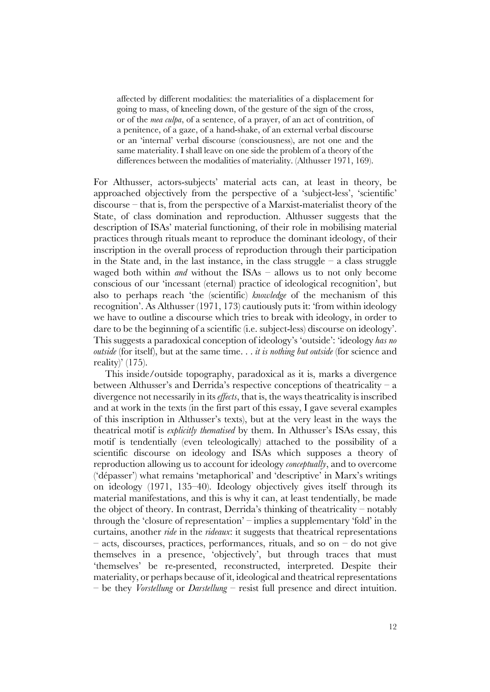affected by different modalities: the materialities of a displacement for going to mass, of kneeling down, of the gesture of the sign of the cross, or of the *mea culpa*, of a sentence, of a prayer, of an act of contrition, of a penitence, of a gaze, of a hand-shake, of an external verbal discourse or an 'internal' verbal discourse (consciousness), are not one and the same materiality. I shall leave on one side the problem of a theory of the differences between the modalities of materiality. (Althusser 1971, 169).

For Althusser, actors-subjects' material acts can, at least in theory, be approached objectively from the perspective of a 'subject-less', 'scientific' discourse – that is, from the perspective of a Marxist-materialist theory of the State, of class domination and reproduction. Althusser suggests that the description of ISAs' material functioning, of their role in mobilising material practices through rituals meant to reproduce the dominant ideology, of their inscription in the overall process of reproduction through their participation in the State and, in the last instance, in the class struggle  $-$  a class struggle waged both within *and* without the ISAs – allows us to not only become conscious of our 'incessant (eternal) practice of ideological recognition', but also to perhaps reach 'the (scientific) *knowledge* of the mechanism of this recognition'. As Althusser (1971, 173) cautiously puts it: 'from within ideology we have to outline a discourse which tries to break with ideology, in order to dare to be the beginning of a scientific (i.e. subject-less) discourse on ideology'. This suggests a paradoxical conception of ideology's 'outside': 'ideology *has no outside* (for itself), but at the same time. . . *it is nothing but outside* (for science and reality)' (175).

This inside/outside topography, paradoxical as it is, marks a divergence between Althusser's and Derrida's respective conceptions of theatricality – a divergence not necessarily in its *effects*, that is, the ways theatricality is inscribed and at work in the texts (in the first part of this essay, I gave several examples of this inscription in Althusser's texts), but at the very least in the ways the theatrical motif is *explicitly thematised* by them. In Althusser's ISAs essay, this motif is tendentially (even teleologically) attached to the possibility of a scientific discourse on ideology and ISAs which supposes a theory of reproduction allowing us to account for ideology *conceptually*, and to overcome ('dépasser') what remains 'metaphorical' and 'descriptive' in Marx's writings on ideology (1971, 135–40). Ideology objectively gives itself through its material manifestations, and this is why it can, at least tendentially, be made the object of theory. In contrast, Derrida's thinking of theatricality – notably through the 'closure of representation' – implies a supplementary 'fold' in the curtains, another *ride* in the *rideaux*: it suggests that theatrical representations – acts, discourses, practices, performances, rituals, and so on – do not give themselves in a presence, 'objectively', but through traces that must 'themselves' be re-presented, reconstructed, interpreted. Despite their materiality, or perhaps because of it, ideological and theatrical representations – be they *Vorstellung* or *Darstellung* – resist full presence and direct intuition.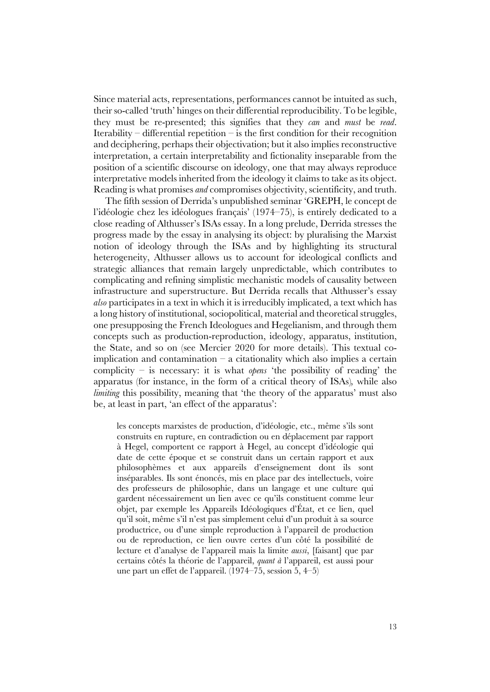Since material acts, representations, performances cannot be intuited as such, their so-called 'truth' hinges on their differential reproducibility. To be legible, they must be re-presented; this signifies that they *can* and *must* be *read*. Iterability – differential repetition – is the first condition for their recognition and deciphering, perhaps their objectivation; but it also implies reconstructive interpretation, a certain interpretability and fictionality inseparable from the position of a scientific discourse on ideology, one that may always reproduce interpretative models inherited from the ideology it claims to take as its object. Reading is what promises *and* compromises objectivity, scientificity, and truth.

The fifth session of Derrida's unpublished seminar 'GREPH, le concept de l'idéologie chez les idéologues français' (1974–75), is entirely dedicated to a close reading of Althusser's ISAs essay. In a long prelude, Derrida stresses the progress made by the essay in analysing its object: by pluralising the Marxist notion of ideology through the ISAs and by highlighting its structural heterogeneity, Althusser allows us to account for ideological conflicts and strategic alliances that remain largely unpredictable, which contributes to complicating and refining simplistic mechanistic models of causality between infrastructure and superstructure. But Derrida recalls that Althusser's essay *also* participates in a text in which it is irreducibly implicated, a text which has a long history of institutional, sociopolitical, material and theoretical struggles, one presupposing the French Ideologues and Hegelianism, and through them concepts such as production-reproduction, ideology, apparatus, institution, the State, and so on (see Mercier 2020 for more details). This textual coimplication and contamination – a citationality which also implies a certain complicity – is necessary: it is what *opens* 'the possibility of reading' the apparatus (for instance, in the form of a critical theory of ISAs)*,* while also *limiting* this possibility, meaning that 'the theory of the apparatus' must also be, at least in part, 'an effect of the apparatus':

les concepts marxistes de production, d'idéologie, etc., même s'ils sont construits en rupture, en contradiction ou en déplacement par rapport à Hegel, comportent ce rapport à Hegel, au concept d'idéologie qui date de cette époque et se construit dans un certain rapport et aux philosophèmes et aux appareils d'enseignement dont ils sont inséparables. Ils sont énoncés, mis en place par des intellectuels, voire des professeurs de philosophie, dans un langage et une culture qui gardent nécessairement un lien avec ce qu'ils constituent comme leur objet, par exemple les Appareils Idéologiques d'État, et ce lien, quel qu'il soit, même s'il n'est pas simplement celui d'un produit à sa source productrice, ou d'une simple reproduction à l'appareil de production ou de reproduction, ce lien ouvre certes d'un côté la possibilité de lecture et d'analyse de l'appareil mais la limite *aussi*, [faisant] que par certains côtés la théorie de l'appareil, *quant à* l'appareil, est aussi pour une part un effet de l'appareil. (1974–75, session 5, 4–5)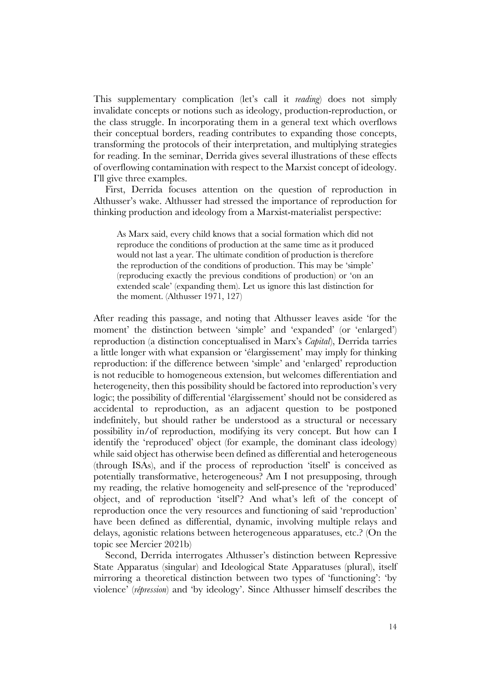This supplementary complication (let's call it *reading*) does not simply invalidate concepts or notions such as ideology, production-reproduction, or the class struggle. In incorporating them in a general text which overflows their conceptual borders, reading contributes to expanding those concepts, transforming the protocols of their interpretation, and multiplying strategies for reading. In the seminar, Derrida gives several illustrations of these effects of overflowing contamination with respect to the Marxist concept of ideology. I'll give three examples.

First, Derrida focuses attention on the question of reproduction in Althusser's wake. Althusser had stressed the importance of reproduction for thinking production and ideology from a Marxist-materialist perspective:

As Marx said, every child knows that a social formation which did not reproduce the conditions of production at the same time as it produced would not last a year. The ultimate condition of production is therefore the reproduction of the conditions of production. This may be 'simple' (reproducing exactly the previous conditions of production) or 'on an extended scale' (expanding them). Let us ignore this last distinction for the moment. (Althusser 1971, 127)

After reading this passage, and noting that Althusser leaves aside 'for the moment' the distinction between 'simple' and 'expanded' (or 'enlarged') reproduction (a distinction conceptualised in Marx's *Capital*), Derrida tarries a little longer with what expansion or 'élargissement' may imply for thinking reproduction: if the difference between 'simple' and 'enlarged' reproduction is not reducible to homogeneous extension, but welcomes differentiation and heterogeneity, then this possibility should be factored into reproduction's very logic; the possibility of differential 'élargissement' should not be considered as accidental to reproduction, as an adjacent question to be postponed indefinitely, but should rather be understood as a structural or necessary possibility in/of reproduction, modifying its very concept. But how can I identify the 'reproduced' object (for example, the dominant class ideology) while said object has otherwise been defined as differential and heterogeneous (through ISAs), and if the process of reproduction 'itself' is conceived as potentially transformative, heterogeneous? Am I not presupposing, through my reading, the relative homogeneity and self-presence of the 'reproduced' object, and of reproduction 'itself'? And what's left of the concept of reproduction once the very resources and functioning of said 'reproduction' have been defined as differential, dynamic, involving multiple relays and delays, agonistic relations between heterogeneous apparatuses, etc.? (On the topic see Mercier 2021b)

Second, Derrida interrogates Althusser's distinction between Repressive State Apparatus (singular) and Ideological State Apparatuses (plural), itself mirroring a theoretical distinction between two types of 'functioning': 'by violence' (*répression*) and 'by ideology'. Since Althusser himself describes the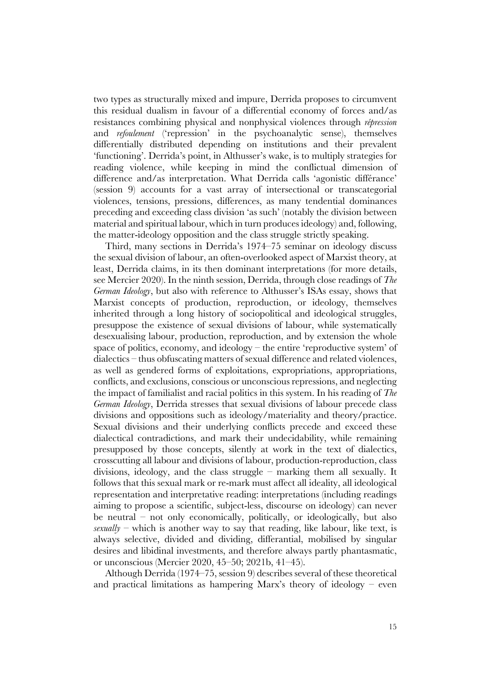two types as structurally mixed and impure, Derrida proposes to circumvent this residual dualism in favour of a differential economy of forces and/as resistances combining physical and nonphysical violences through *répression* and *refoulement* ('repression' in the psychoanalytic sense), themselves differentially distributed depending on institutions and their prevalent 'functioning'. Derrida's point, in Althusser's wake, is to multiply strategies for reading violence, while keeping in mind the conflictual dimension of difference and/as interpretation. What Derrida calls 'agonistic différance' (session 9) accounts for a vast array of intersectional or transcategorial violences, tensions, pressions, differences, as many tendential dominances preceding and exceeding class division 'as such' (notably the division between material and spiritual labour, which in turn produces ideology) and, following, the matter-ideology opposition and the class struggle strictly speaking.

Third, many sections in Derrida's 1974–75 seminar on ideology discuss the sexual division of labour, an often-overlooked aspect of Marxist theory, at least, Derrida claims, in its then dominant interpretations (for more details, see Mercier 2020). In the ninth session, Derrida, through close readings of *The German Ideology*, but also with reference to Althusser's ISAs essay, shows that Marxist concepts of production, reproduction, or ideology, themselves inherited through a long history of sociopolitical and ideological struggles, presuppose the existence of sexual divisions of labour, while systematically desexualising labour, production, reproduction, and by extension the whole space of politics, economy, and ideology – the entire 'reproductive system' of dialectics – thus obfuscating matters of sexual difference and related violences, as well as gendered forms of exploitations, expropriations, appropriations, conflicts, and exclusions, conscious or unconscious repressions, and neglecting the impact of familialist and racial politics in this system. In his reading of *The German Ideology*, Derrida stresses that sexual divisions of labour precede class divisions and oppositions such as ideology/materiality and theory/practice. Sexual divisions and their underlying conflicts precede and exceed these dialectical contradictions, and mark their undecidability, while remaining presupposed by those concepts, silently at work in the text of dialectics, crosscutting all labour and divisions of labour, production-reproduction, class divisions, ideology, and the class struggle – marking them all sexually. It follows that this sexual mark or re-mark must affect all ideality, all ideological representation and interpretative reading: interpretations (including readings aiming to propose a scientific, subject-less, discourse on ideology) can never be neutral – not only economically, politically, or ideologically, but also  $\frac{sexually -$  which is another way to say that reading, like labour, like text, is always selective, divided and dividing, differantial, mobilised by singular desires and libidinal investments, and therefore always partly phantasmatic, or unconscious (Mercier 2020, 45–50; 2021b, 41–45).

Although Derrida (1974–75, session 9) describes several of these theoretical and practical limitations as hampering Marx's theory of ideology – even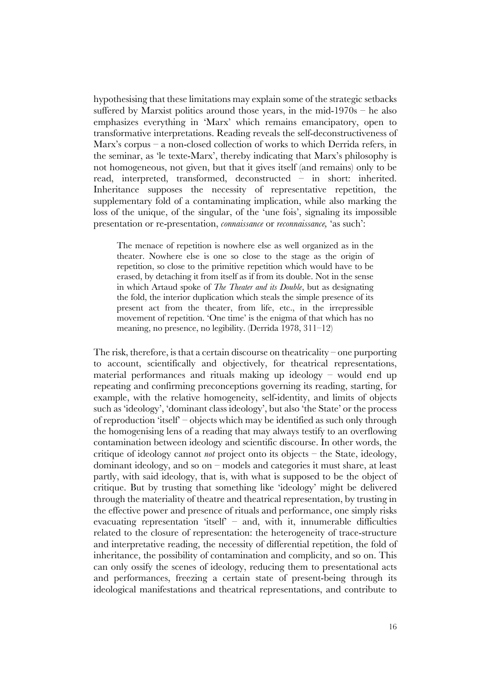hypothesising that these limitations may explain some of the strategic setbacks suffered by Marxist politics around those years, in the mid- $1970s$  – he also emphasizes everything in 'Marx' which remains emancipatory, open to transformative interpretations. Reading reveals the self-deconstructiveness of Marx's corpus – a non-closed collection of works to which Derrida refers, in the seminar, as 'le texte-Marx', thereby indicating that Marx's philosophy is not homogeneous, not given, but that it gives itself (and remains) only to be read, interpreted, transformed, deconstructed – in short: inherited. Inheritance supposes the necessity of representative repetition, the supplementary fold of a contaminating implication, while also marking the loss of the unique, of the singular, of the 'une fois', signaling its impossible presentation or re-presentation, *connaissance* or *reconnaissance,* 'as such':

The menace of repetition is nowhere else as well organized as in the theater. Nowhere else is one so close to the stage as the origin of repetition, so close to the primitive repetition which would have to be erased, by detaching it from itself as if from its double. Not in the sense in which Artaud spoke of *The Theater and its Double*, but as designating the fold, the interior duplication which steals the simple presence of its present act from the theater, from life, etc., in the irrepressible movement of repetition. 'One time' is the enigma of that which has no meaning, no presence, no legibility. (Derrida 1978, 311–12)

The risk, therefore, is that a certain discourse on theatricality – one purporting to account, scientifically and objectively, for theatrical representations, material performances and rituals making up ideology – would end up repeating and confirming preconceptions governing its reading, starting, for example, with the relative homogeneity, self-identity, and limits of objects such as 'ideology', 'dominant class ideology', but also 'the State' or the process of reproduction 'itself' – objects which may be identified as such only through the homogenising lens of a reading that may always testify to an overflowing contamination between ideology and scientific discourse. In other words, the critique of ideology cannot *not* project onto its objects – the State, ideology, dominant ideology, and so on – models and categories it must share, at least partly, with said ideology, that is, with what is supposed to be the object of critique. But by trusting that something like 'ideology' might be delivered through the materiality of theatre and theatrical representation, by trusting in the effective power and presence of rituals and performance, one simply risks evacuating representation 'itself' – and, with it, innumerable difficulties related to the closure of representation: the heterogeneity of trace-structure and interpretative reading, the necessity of differential repetition, the fold of inheritance, the possibility of contamination and complicity, and so on. This can only ossify the scenes of ideology, reducing them to presentational acts and performances, freezing a certain state of present-being through its ideological manifestations and theatrical representations, and contribute to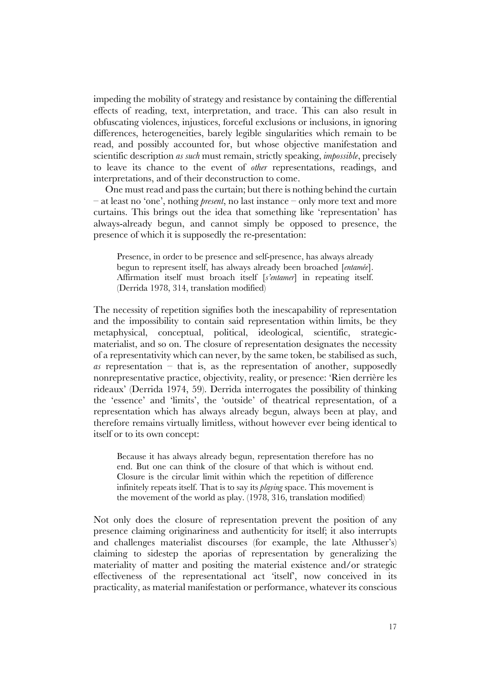impeding the mobility of strategy and resistance by containing the differential effects of reading, text, interpretation, and trace. This can also result in obfuscating violences, injustices, forceful exclusions or inclusions, in ignoring differences, heterogeneities, barely legible singularities which remain to be read, and possibly accounted for, but whose objective manifestation and scientific description *as such* must remain, strictly speaking, *impossible*, precisely to leave its chance to the event of *other* representations, readings, and interpretations, and of their deconstruction to come.

One must read and pass the curtain; but there is nothing behind the curtain – at least no 'one', nothing *present*, no last instance – only more text and more curtains. This brings out the idea that something like 'representation' has always-already begun, and cannot simply be opposed to presence, the presence of which it is supposedly the re-presentation:

Presence, in order to be presence and self-presence, has always already begun to represent itself, has always already been broached [*entamée*]. Affirmation itself must broach itself [*s'entamer*] in repeating itself. (Derrida 1978, 314, translation modified)

The necessity of repetition signifies both the inescapability of representation and the impossibility to contain said representation within limits, be they metaphysical, conceptual, political, ideological, scientific, strategicmaterialist, and so on. The closure of representation designates the necessity of a representativity which can never, by the same token, be stabilised as such, *as* representation – that is, as the representation of another, supposedly nonrepresentative practice, objectivity, reality, or presence: 'Rien derrière les rideaux' (Derrida 1974, 59). Derrida interrogates the possibility of thinking the 'essence' and 'limits', the 'outside' of theatrical representation, of a representation which has always already begun, always been at play, and therefore remains virtually limitless, without however ever being identical to itself or to its own concept:

Because it has always already begun, representation therefore has no end. But one can think of the closure of that which is without end. Closure is the circular limit within which the repetition of difference infinitely repeats itself. That is to say its *playing* space. This movement is the movement of the world as play. (1978, 316, translation modified)

Not only does the closure of representation prevent the position of any presence claiming originariness and authenticity for itself; it also interrupts and challenges materialist discourses (for example, the late Althusser's) claiming to sidestep the aporias of representation by generalizing the materiality of matter and positing the material existence and/or strategic effectiveness of the representational act 'itself', now conceived in its practicality, as material manifestation or performance, whatever its conscious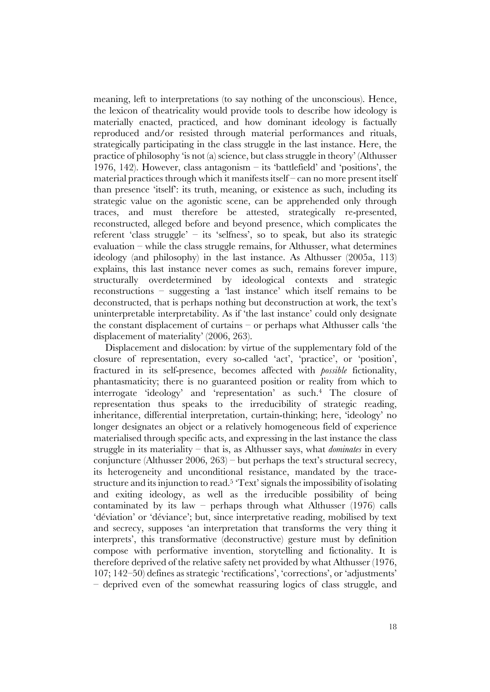meaning, left to interpretations (to say nothing of the unconscious). Hence, the lexicon of theatricality would provide tools to describe how ideology is materially enacted, practiced, and how dominant ideology is factually reproduced and/or resisted through material performances and rituals, strategically participating in the class struggle in the last instance. Here, the practice of philosophy 'is not (a) science, but class struggle in theory' (Althusser 1976, 142). However, class antagonism – its 'battlefield' and 'positions', the material practices through which it manifests itself – can no more present itself than presence 'itself': its truth, meaning, or existence as such, including its strategic value on the agonistic scene, can be apprehended only through traces, and must therefore be attested, strategically re-presented, reconstructed, alleged before and beyond presence, which complicates the referent 'class struggle' – its 'selfness', so to speak, but also its strategic evaluation  $-$  while the class struggle remains, for Althusser, what determines ideology (and philosophy) in the last instance. As Althusser (2005a, 113) explains, this last instance never comes as such, remains forever impure, structurally overdetermined by ideological contexts and strategic reconstructions – suggesting a 'last instance' which itself remains to be deconstructed, that is perhaps nothing but deconstruction at work, the text's uninterpretable interpretability. As if 'the last instance' could only designate the constant displacement of curtains – or perhaps what Althusser calls 'the displacement of materiality' (2006, 263).

Displacement and dislocation: by virtue of the supplementary fold of the closure of representation, every so-called 'act', 'practice', or 'position', fractured in its self-presence, becomes affected with *possible* fictionality, phantasmaticity; there is no guaranteed position or reality from which to interrogate 'ideology' and 'representation' as such. <sup>4</sup> The closure of representation thus speaks to the irreducibility of strategic reading, inheritance, differential interpretation, curtain-thinking; here, 'ideology' no longer designates an object or a relatively homogeneous field of experience materialised through specific acts, and expressing in the last instance the class struggle in its materiality – that is, as Althusser says, what *dominates* in every conjuncture (Althusser 2006, 263) – but perhaps the text's structural secrecy, its heterogeneity and unconditional resistance, mandated by the tracestructure and its injunction to read.5 'Text' signals the impossibility of isolating and exiting ideology, as well as the irreducible possibility of being contaminated by its law – perhaps through what Althusser  $(1976)$  calls 'déviation' or 'déviance'; but, since interpretative reading, mobilised by text and secrecy, supposes 'an interpretation that transforms the very thing it interprets', this transformative (deconstructive) gesture must by definition compose with performative invention, storytelling and fictionality. It is therefore deprived of the relative safety net provided by what Althusser (1976, 107; 142–50) defines as strategic 'rectifications', 'corrections', or 'adjustments' – deprived even of the somewhat reassuring logics of class struggle, and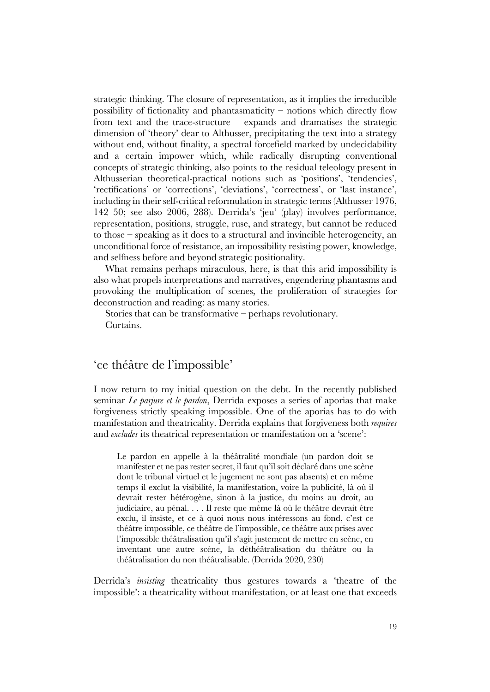strategic thinking. The closure of representation, as it implies the irreducible possibility of fictionality and phantasmaticity – notions which directly flow from text and the trace-structure – expands and dramatises the strategic dimension of 'theory' dear to Althusser, precipitating the text into a strategy without end, without finality, a spectral forcefield marked by undecidability and a certain impower which, while radically disrupting conventional concepts of strategic thinking, also points to the residual teleology present in Althusserian theoretical-practical notions such as 'positions', 'tendencies', 'rectifications' or 'corrections', 'deviations', 'correctness', or 'last instance', including in their self-critical reformulation in strategic terms (Althusser 1976, 142–50; see also 2006, 288). Derrida's 'jeu' (play) involves performance, representation, positions, struggle, ruse, and strategy, but cannot be reduced to those – speaking as it does to a structural and invincible heterogeneity, an unconditional force of resistance, an impossibility resisting power, knowledge, and selfness before and beyond strategic positionality.

What remains perhaps miraculous, here, is that this arid impossibility is also what propels interpretations and narratives, engendering phantasms and provoking the multiplication of scenes, the proliferation of strategies for deconstruction and reading: as many stories.

Stories that can be transformative – perhaps revolutionary. Curtains.

### 'ce théâtre de l'impossible'

I now return to my initial question on the debt. In the recently published seminar *Le parjure et le pardon*, Derrida exposes a series of aporias that make forgiveness strictly speaking impossible. One of the aporias has to do with manifestation and theatricality. Derrida explains that forgiveness both *requires* and *excludes* its theatrical representation or manifestation on a 'scene':

Le pardon en appelle à la théâtralité mondiale (un pardon doit se manifester et ne pas rester secret, il faut qu'il soit déclaré dans une scène dont le tribunal virtuel et le jugement ne sont pas absents) et en même temps il exclut la visibilité, la manifestation, voire la publicité, là où il devrait rester hétérogène, sinon à la justice, du moins au droit, au judiciaire, au pénal. . . . Il reste que même là où le théâtre devrait être exclu, il insiste, et ce à quoi nous nous intéressons au fond, c'est ce théâtre impossible, ce théâtre de l'impossible, ce théâtre aux prises avec l'impossible théâtralisation qu'il s'agit justement de mettre en scène, en inventant une autre scène, la déthéâtralisation du théâtre ou la théâtralisation du non théâtralisable. (Derrida 2020, 230)

Derrida's *insisting* theatricality thus gestures towards a 'theatre of the impossible': a theatricality without manifestation, or at least one that exceeds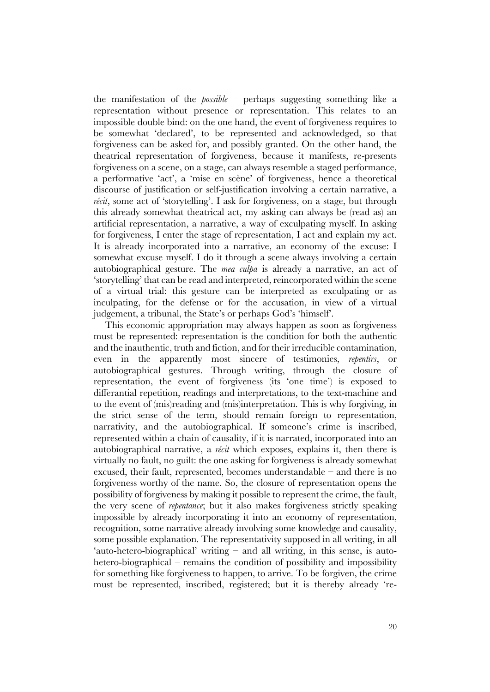the manifestation of the *possible –* perhaps suggesting something like a representation without presence or representation. This relates to an impossible double bind: on the one hand, the event of forgiveness requires to be somewhat 'declared', to be represented and acknowledged, so that forgiveness can be asked for, and possibly granted. On the other hand, the theatrical representation of forgiveness, because it manifests, re-presents forgiveness on a scene, on a stage, can always resemble a staged performance, a performative 'act', a 'mise en scène' of forgiveness, hence a theoretical discourse of justification or self-justification involving a certain narrative, a *récit*, some act of 'storytelling'. I ask for forgiveness, on a stage, but through this already somewhat theatrical act, my asking can always be (read as) an artificial representation, a narrative, a way of exculpating myself. In asking for forgiveness, I enter the stage of representation, I act and explain my act. It is already incorporated into a narrative, an economy of the excuse: I somewhat excuse myself. I do it through a scene always involving a certain autobiographical gesture. The *mea culpa* is already a narrative, an act of 'storytelling' that can be read and interpreted, reincorporated within the scene of a virtual trial: this gesture can be interpreted as exculpating or as inculpating, for the defense or for the accusation, in view of a virtual judgement, a tribunal, the State's or perhaps God's 'himself'.

This economic appropriation may always happen as soon as forgiveness must be represented: representation is the condition for both the authentic and the inauthentic, truth and fiction, and for their irreducible contamination, even in the apparently most sincere of testimonies, *repentirs*, or autobiographical gestures. Through writing, through the closure of representation, the event of forgiveness (its 'one time') is exposed to differantial repetition, readings and interpretations, to the text-machine and to the event of (mis)reading and (mis)interpretation. This is why forgiving, in the strict sense of the term, should remain foreign to representation, narrativity, and the autobiographical. If someone's crime is inscribed, represented within a chain of causality, if it is narrated, incorporated into an autobiographical narrative, a *récit* which exposes, explains it, then there is virtually no fault, no guilt: the one asking for forgiveness is already somewhat excused, their fault, represented, becomes understandable – and there is no forgiveness worthy of the name. So, the closure of representation opens the possibility of forgiveness by making it possible to represent the crime, the fault, the very scene of *repentance*; but it also makes forgiveness strictly speaking impossible by already incorporating it into an economy of representation, recognition, some narrative already involving some knowledge and causality, some possible explanation. The representativity supposed in all writing, in all 'auto-hetero-biographical' writing – and all writing, in this sense, is autohetero-biographical – remains the condition of possibility and impossibility for something like forgiveness to happen, to arrive. To be forgiven, the crime must be represented, inscribed, registered; but it is thereby already 're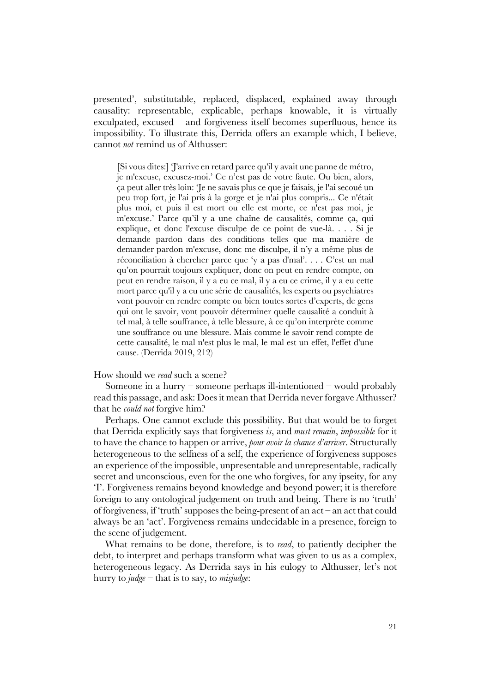presented', substitutable, replaced, displaced, explained away through causality: representable, explicable, perhaps knowable, it is virtually exculpated, excused – and forgiveness itself becomes superfluous, hence its impossibility. To illustrate this, Derrida offers an example which, I believe, cannot *not* remind us of Althusser:

[Si vous dites:] 'J'arrive en retard parce qu'il y avait une panne de métro, je m'excuse, excusez-moi.' Ce n'est pas de votre faute. Ou bien, alors, ça peut aller très loin: 'Je ne savais plus ce que je faisais, je l'ai secoué un peu trop fort, je l'ai pris à la gorge et je n'ai plus compris... Ce n'était plus moi, et puis il est mort ou elle est morte, ce n'est pas moi, je m'excuse.' Parce qu'il y a une chaîne de causalités, comme ça, qui explique, et donc l'excuse disculpe de ce point de vue-là. . . . Si je demande pardon dans des conditions telles que ma manière de demander pardon m'excuse, donc me disculpe, il n'y a même plus de réconciliation à chercher parce que 'y a pas d'mal'. . . . C'est un mal qu'on pourrait toujours expliquer, donc on peut en rendre compte, on peut en rendre raison, il y a eu ce mal, il y a eu ce crime, il y a eu cette mort parce qu'il y a eu une série de causalités, les experts ou psychiatres vont pouvoir en rendre compte ou bien toutes sortes d'experts, de gens qui ont le savoir, vont pouvoir déterminer quelle causalité a conduit à tel mal, à telle souffrance, à telle blessure, à ce qu'on interprète comme une souffrance ou une blessure. Mais comme le savoir rend compte de cette causalité, le mal n'est plus le mal, le mal est un effet, l'effet d'une cause. (Derrida 2019, 212)

#### How should we *read* such a scene?

Someone in a hurry – someone perhaps ill-intentioned – would probably read this passage, and ask: Does it mean that Derrida never forgave Althusser? that he *could not* forgive him?

Perhaps. One cannot exclude this possibility. But that would be to forget that Derrida explicitly says that forgiveness *is*, and *must remain*, *impossible* for it to have the chance to happen or arrive, *pour avoir la chance d'arriver*. Structurally heterogeneous to the selfness of a self, the experience of forgiveness supposes an experience of the impossible, unpresentable and unrepresentable, radically secret and unconscious, even for the one who forgives, for any ipseity, for any 'I'. Forgiveness remains beyond knowledge and beyond power; it is therefore foreign to any ontological judgement on truth and being. There is no 'truth' of forgiveness, if 'truth' supposes the being-present of an act – an act that could always be an 'act'. Forgiveness remains undecidable in a presence, foreign to the scene of judgement.

What remains to be done, therefore, is to *read*, to patiently decipher the debt, to interpret and perhaps transform what was given to us as a complex, heterogeneous legacy. As Derrida says in his eulogy to Althusser, let's not hurry to *judge* – that is to say, to *misjudge*: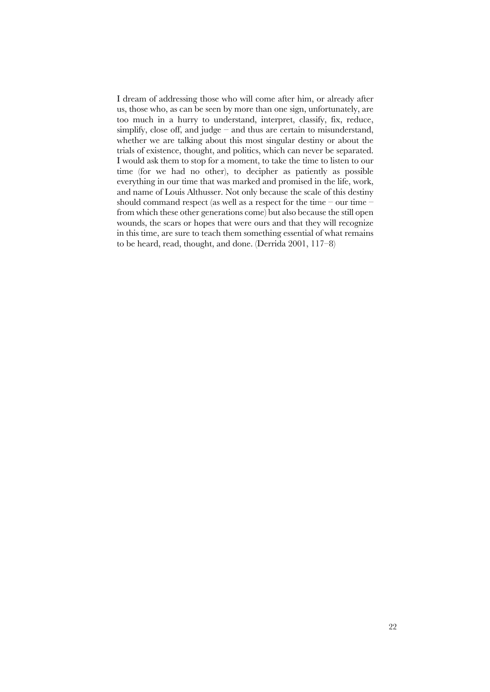I dream of addressing those who will come after him, or already after us, those who, as can be seen by more than one sign, unfortunately, are too much in a hurry to understand, interpret, classify, fix, reduce, simplify, close off, and judge – and thus are certain to misunderstand, whether we are talking about this most singular destiny or about the trials of existence, thought, and politics, which can never be separated. I would ask them to stop for a moment, to take the time to listen to our time (for we had no other), to decipher as patiently as possible everything in our time that was marked and promised in the life, work, and name of Louis Althusser. Not only because the scale of this destiny should command respect (as well as a respect for the time – our time – from which these other generations come) but also because the still open wounds, the scars or hopes that were ours and that they will recognize in this time, are sure to teach them something essential of what remains to be heard, read, thought, and done. (Derrida 2001, 117–8)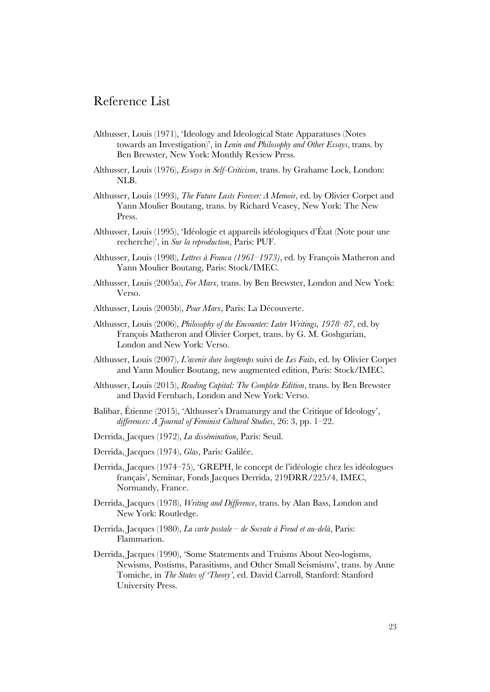### Reference List

- Althusser, Louis (1971), 'Ideology and Ideological State Apparatuses (Notes towards an Investigation)', in *Lenin and Philosophy and Other Essays*, trans. by Ben Brewster, New York: Monthly Review Press.
- Althusser, Louis (1976), *Essays in Self-Criticism*, trans. by Grahame Lock, London: NLB.
- Althusser, Louis (1993), *The Future Lasts Forever: A Memoir*, ed. by Olivier Corpet and Yann Moulier Boutang, trans. by Richard Veasey, New York: The New Press.
- Althusser, Louis (1995), 'Idéologie et appareils idéologiques d'État (Note pour une recherche)', in *Sur la reproduction*, Paris: PUF.
- Althusser, Louis (1998), *Lettres à Franca (1961–1973)*, ed. by François Matheron and Yann Moulier Boutang, Paris: Stock/IMEC.
- Althusser, Louis (2005a), *For Marx*, trans. by Ben Brewster, London and New York: Verso.
- Althusser, Louis (2005b), *Pour Marx*, Paris: La Découverte.
- Althusser, Louis (2006), *Philosophy of the Encounter: Later Writings, 1978–87*, ed. by François Matheron and Olivier Corpet, trans. by G. M. Goshgarian, London and New York: Verso.
- Althusser, Louis (2007), *L'avenir dure longtemps* suivi de *Les Faits*, ed. by Olivier Corpet and Yann Moulier Boutang, new augmented edition, Paris: Stock/IMEC.
- Althusser, Louis (2015), *Reading Capital: The Complete Edition*, trans. by Ben Brewster and David Fernbach, London and New York: Verso.
- Balibar, Étienne (2015), 'Althusser's Dramaturgy and the Critique of Ideology', *differences: A Journal of Feminist Cultural Studies*, 26: 3, pp. 1–22.
- Derrida, Jacques (1972), *La dissémination*, Paris: Seuil.
- Derrida, Jacques (1974), *Glas*, Paris: Galilée.
- Derrida, Jacques (1974–75), 'GREPH, le concept de l'idéologie chez les idéologues français', Seminar, Fonds Jacques Derrida, 219DRR/225/4, IMEC, Normandy, France.
- Derrida, Jacques (1978), *Writing and Difference*, trans. by Alan Bass, London and New York: Routledge.
- Derrida, Jacques (1980), *La carte postale – de Socrate à Freud et au-delà*, Paris: Flammarion.
- Derrida, Jacques (1990), 'Some Statements and Truisms About Neo-logisms, Newisms, Postisms, Parasitisms, and Other Small Seismisms', trans. by Anne Tomiche, in *The States of 'Theory'*, ed. David Carroll, Stanford: Stanford University Press.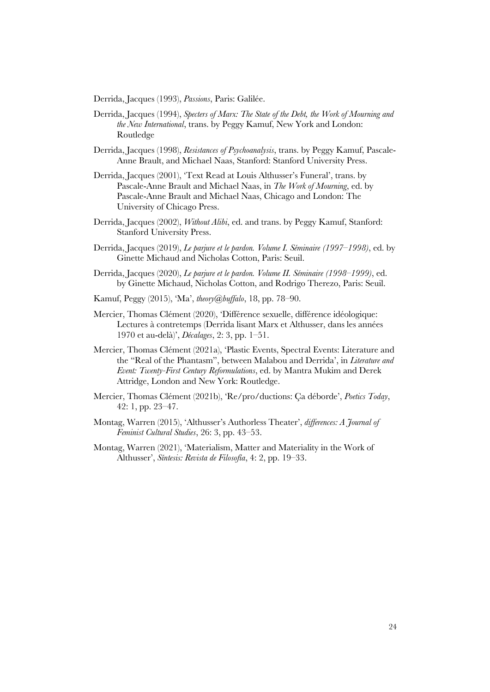Derrida, Jacques (1993), *Passions*, Paris: Galilée.

- Derrida, Jacques (1994), *Specters of Marx: The State of the Debt, the Work of Mourning and the New International*, trans. by Peggy Kamuf, New York and London: Routledge
- Derrida, Jacques (1998), *Resistances of Psychoanalysis*, trans. by Peggy Kamuf, Pascale-Anne Brault, and Michael Naas, Stanford: Stanford University Press.
- Derrida, Jacques (2001), 'Text Read at Louis Althusser's Funeral', trans. by Pascale-Anne Brault and Michael Naas, in *The Work of Mourning*, ed. by Pascale-Anne Brault and Michael Naas, Chicago and London: The University of Chicago Press.
- Derrida, Jacques (2002), *Without Alibi*, ed. and trans. by Peggy Kamuf, Stanford: Stanford University Press.
- Derrida, Jacques (2019), *Le parjure et le pardon. Volume I. Séminaire (1997–1998)*, ed. by Ginette Michaud and Nicholas Cotton, Paris: Seuil.
- Derrida, Jacques (2020), *Le parjure et le pardon. Volume II. Séminaire (1998–1999)*, ed. by Ginette Michaud, Nicholas Cotton, and Rodrigo Therezo, Paris: Seuil.
- Kamuf, Peggy (2015), 'Ma', *theory@buffalo*, 18, pp. 78–90.
- Mercier, Thomas Clément (2020), 'Différence sexuelle, différence idéologique: Lectures à contretemps (Derrida lisant Marx et Althusser, dans les années 1970 et au-delà)', *Décalages*, 2: 3, pp. 1–51.
- Mercier, Thomas Clément (2021a), 'Plastic Events, Spectral Events: Literature and the "Real of the Phantasm", between Malabou and Derrida', in *Literature and Event: Twenty-First Century Reformulations*, ed. by Mantra Mukim and Derek Attridge, London and New York: Routledge.
- Mercier, Thomas Clément (2021b), 'Re/pro/ductions: Ça déborde', *Poetics Today*, 42: 1, pp. 23–47.
- Montag, Warren (2015), 'Althusser's Authorless Theater', *differences: A Journal of Feminist Cultural Studies*, 26: 3, pp. 43–53.
- Montag, Warren (2021), 'Materialism, Matter and Materiality in the Work of Althusser', *Síntesis: Revista de Filosofía*, 4: 2, pp. 19–33.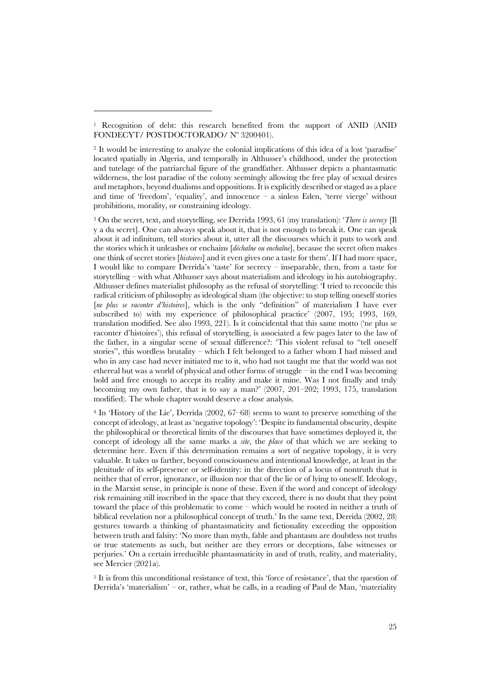<sup>3</sup> On the secret, text, and storytelling, see Derrida 1993, 61 (my translation): '*There is secrecy* [Il y a du secret]. One can always speak about it, that is not enough to break it. One can speak about it ad infinitum, tell stories about it, utter all the discourses which it puts to work and the stories which it unleashes or enchains [*déchaîne ou enchaîne*], because the secret often makes one think of secret stories [*histoires*] and it even gives one a taste for them'. If I had more space, I would like to compare Derrida's 'taste' for secrecy – inseparable, then, from a taste for storytelling – with what Althusser says about materialism and ideology in his autobiography. Althusser defines materialist philosophy as the refusal of storytelling: 'I tried to reconcile this radical criticism of philosophy as ideological sham (the objective: to stop telling oneself stories [*ne plus se raconter d'histoires*], which is the only "definition" of materialism I have ever subscribed to) with my experience of philosophical practice' (2007, 195; 1993, 169, translation modified. See also 1993, 221). Is it coincidental that this same motto ('ne plus se raconter d'histoires'), this refusal of storytelling, is associated a few pages later to the law of the father, in a singular scene of sexual difference?: 'This violent refusal to "tell oneself stories", this wordless brutality – which I felt belonged to a father whom I had missed and who in any case had never initiated me to it, who had not taught me that the world was not ethereal but was a world of physical and other forms of struggle – in the end I was becoming bold and free enough to accept its reality and make it mine. Was I not finally and truly becoming my own father, that is to say a man?' (2007, 201–202; 1993, 175, translation modified). The whole chapter would deserve a close analysis.

<sup>4</sup> In 'History of the Lie', Derrida (2002, 67–68) seems to want to preserve something of the concept of ideology, at least as 'negative topology': 'Despite its fundamental obscurity, despite the philosophical or theoretical limits of the discourses that have sometimes deployed it, the concept of ideology all the same marks a *site*, the *place* of that which we are seeking to determine here. Even if this determination remains a sort of negative topology, it is very valuable. It takes us farther, beyond consciousness and intentional knowledge, at least in the plenitude of its self-presence or self-identity: in the direction of a locus of nontruth that is neither that of error, ignorance, or illusion nor that of the lie or of lying to oneself. Ideology, in the Marxist sense, in principle is none of these. Even if the word and concept of ideology risk remaining still inscribed in the space that they exceed, there is no doubt that they point toward the place of this problematic to come – which would be rooted in neither a truth of biblical revelation nor a philosophical concept of truth.' In the same text, Derrida (2002, 28) gestures towards a thinking of phantasmaticity and fictionality exceeding the opposition between truth and falsity: 'No more than myth, fable and phantasm are doubtless not truths or true statements as such, but neither are they errors or deceptions, false witnesses or perjuries.' On a certain irreducible phantasmaticity in and of truth, reality, and materiality, see Mercier (2021a).

<sup>5</sup> It is from this unconditional resistance of text, this 'force of resistance', that the question of Derrida's 'materialism' – or, rather, what he calls, in a reading of Paul de Man, 'materiality

<sup>1</sup> Recognition of debt: this research benefited from the support of ANID (ANID FONDECYT/ POSTDOCTORADO/ Nº 3200401).

<sup>2</sup> It would be interesting to analyze the colonial implications of this idea of a lost 'paradise' located spatially in Algeria, and temporally in Althusser's childhood, under the protection and tutelage of the patriarchal figure of the grandfather. Althusser depicts a phantasmatic wilderness, the lost paradise of the colony seemingly allowing the free play of sexual desires and metaphors, beyond dualisms and oppositions. It is explicitly described or staged as a place and time of 'freedom', 'equality', and innocence  $-$  a sinless Eden, 'terre vierge' without prohibitions, morality, or constraining ideology.